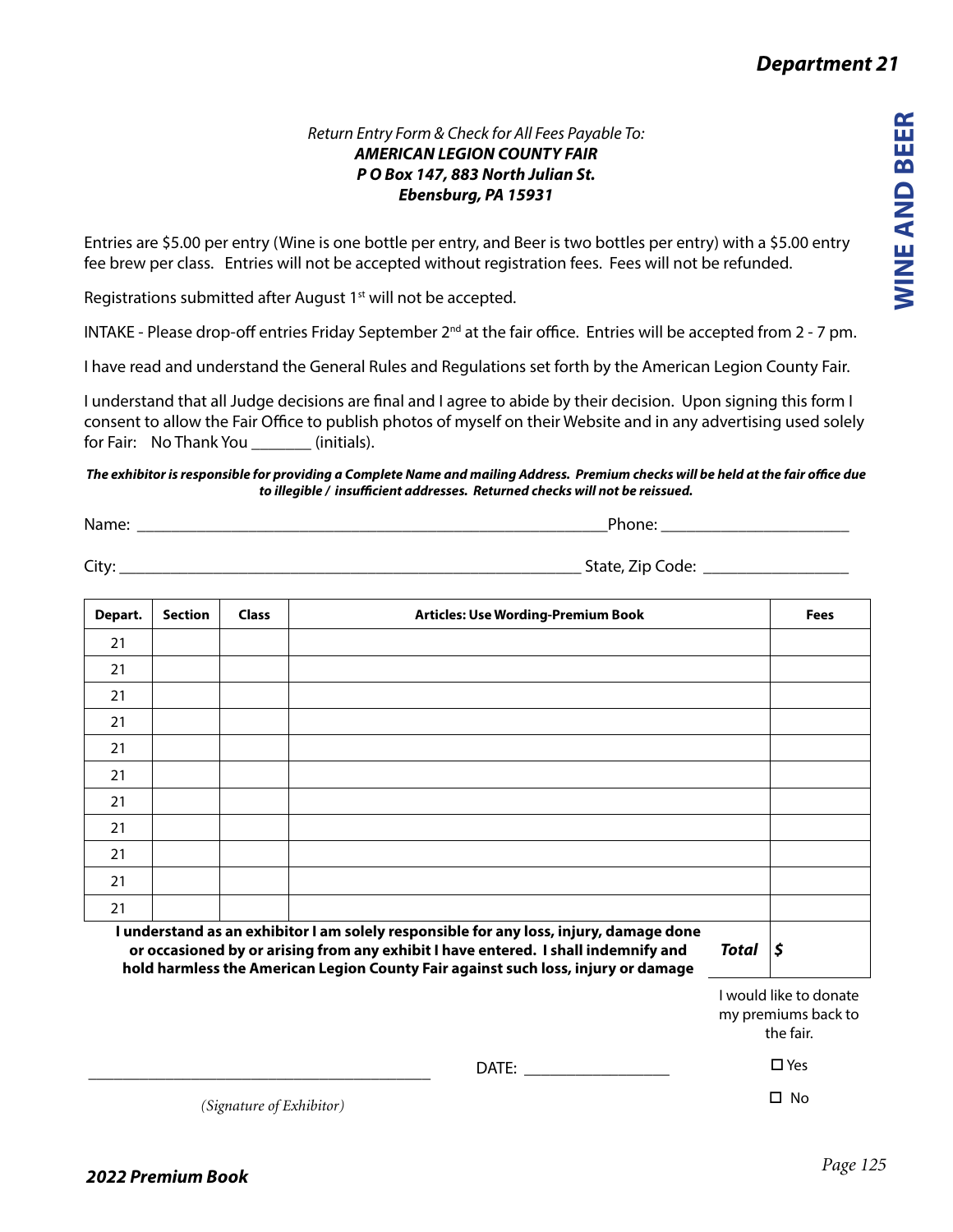*Department 21*

## *Return Entry Form & Check for All Fees Payable To: AMERICAN LEGION COUNTY FAIR P O Box 147, 883 North Julian St. Ebensburg, PA 15931*

Entries are \$5.00 per entry (Wine is one bottle per entry, and Beer is two bottles per entry) with a \$5.00 entry fee brew per class. Entries will not be accepted without registration fees. Fees will not be refunded.

Registrations submitted after August 1<sup>st</sup> will not be accepted.

INTAKE - Please drop-off entries Friday September 2<sup>nd</sup> at the fair office. Entries will be accepted from 2 - 7 pm.

I have read and understand the General Rules and Regulations set forth by the American Legion County Fair.

I understand that all Judge decisions are final and I agree to abide by their decision. Upon signing this form I consent to allow the Fair Office to publish photos of myself on their Website and in any advertising used solely for Fair: No Thank You (initials).

## *The exhibitor is responsible for providing a Complete Name and mailing Address. Premium checks will be held at the fair office due to illegible / insufficient addresses. Returned checks will not be reissued.*

Name: \_\_\_\_\_\_\_\_\_\_\_\_\_\_\_\_\_\_\_\_\_\_\_\_\_\_\_\_\_\_\_\_\_\_\_\_\_\_\_\_\_\_\_\_\_\_\_\_\_\_\_\_\_\_\_Phone: \_\_\_\_\_\_\_\_\_\_\_\_\_\_\_\_\_\_\_\_\_\_

City: \_\_\_\_\_\_\_\_\_\_\_\_\_\_\_\_\_\_\_\_\_\_\_\_\_\_\_\_\_\_\_\_\_\_\_\_\_\_\_\_\_\_\_\_\_\_\_\_\_\_\_\_\_\_ State, Zip Code: \_\_\_\_\_\_\_\_\_\_\_\_\_\_\_\_\_

| Depart.                                                                                | Section | <b>Class</b> | <b>Articles: Use Wording-Premium Book</b> | <b>Fees</b> |
|----------------------------------------------------------------------------------------|---------|--------------|-------------------------------------------|-------------|
| 21                                                                                     |         |              |                                           |             |
| 21                                                                                     |         |              |                                           |             |
| 21                                                                                     |         |              |                                           |             |
| 21                                                                                     |         |              |                                           |             |
| 21                                                                                     |         |              |                                           |             |
| 21                                                                                     |         |              |                                           |             |
| 21                                                                                     |         |              |                                           |             |
| 21                                                                                     |         |              |                                           |             |
| 21                                                                                     |         |              |                                           |             |
| 21                                                                                     |         |              |                                           |             |
| 21                                                                                     |         |              |                                           |             |
| I understand as an exhibitor I am solely responsible for any loss, injury, damage done |         |              |                                           |             |

**or occasioned by or arising from any exhibit I have entered. I shall indemnify and hold harmless the American Legion County Fair against such loss, injury or damage**

*Total \$*

I would like to donate my premiums back to the fair.

□ Yes

□ No

DATE: \_\_\_\_\_\_\_\_\_\_\_\_\_\_\_\_\_

*(Signature of Exhibitor)*

\_\_\_\_\_\_\_\_\_\_\_\_\_\_\_\_\_\_\_\_\_\_\_\_\_\_\_\_\_\_\_\_\_\_\_\_\_\_\_\_